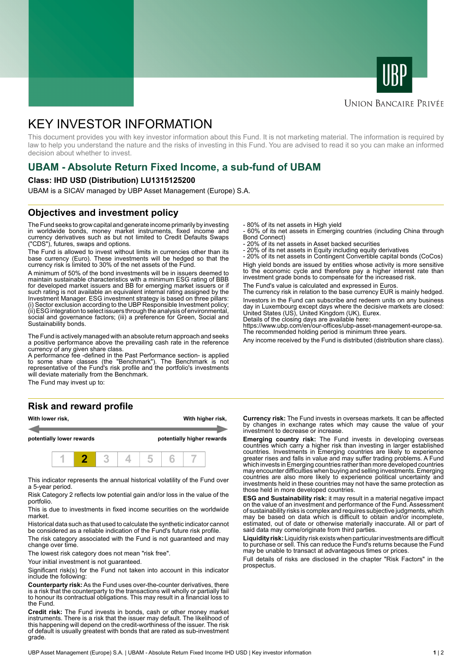



### **UNION BANCAIRE PRIVÉE**

# KEY INVESTOR INFORMATION

This document provides you with key investor information about this Fund. It is not marketing material. The information is required by law to help you understand the nature and the risks of investing in this Fund. You are advised to read it so you can make an informed decision about whether to invest.

## **UBAM - Absolute Return Fixed Income, a sub-fund of UBAM**

#### **Class: IHD USD (Distribution) LU1315125200**

UBAM is a SICAV managed by UBP Asset Management (Europe) S.A.

#### **Objectives and investment policy**

The Fund seeks to grow capital and generate income primarily by investing in worldwide bonds, money market instruments, fixed income and currency derivatives such as but not limited to Credit Defaults Swaps ("CDS"), futures, swaps and options.

The Fund is allowed to invest without limits in currencies other than its base currency (Euro). These investments will be hedged so that the currency risk is limited to 30% of the net assets of the Fund.

A minimum of 50% of the bond investments will be in issuers deemed to maintain sustainable characteristics with a minimum ESG rating of BBB for developed market issuers and BB for emerging market issuers or if such rating is not available an equivalent internal rating assigned by the Investment Manager. ESG investment strategy is based on three pillars: (i) Sector exclusion according to the UBP Responsible Investment policy; (ii) ESG integration to select issuers through the analysis of environmental, social and governance factors; (iii) a preference for Green, Social and Sustainability bonds.

The Fund is actively managed with an absolute return approach and seeks a positive performance above the prevailing cash rate in the reference currency of any given share class.

A performance fee -defined in the Past Performance section- is applied to some share classes (the "Benchmark"). The Benchmark is not representative of the Fund's risk profile and the portfolio's investments will deviate materially from the Benchmark.

The Fund may invest up to:

# **Risk and reward profile**



This indicator represents the annual historical volatility of the Fund over a 5-year period.

Risk Category 2 reflects low potential gain and/or loss in the value of the portfolio.

This is due to investments in fixed income securities on the worldwide market.

Historical data such as that used to calculate the synthetic indicator cannot be considered as a reliable indication of the Fund's future risk profile.

The risk category associated with the Fund is not guaranteed and may change over time.

The lowest risk category does not mean "risk free".

Your initial investment is not guaranteed.

Significant risk(s) for the Fund not taken into account in this indicator include the following:

**Counterparty risk:** As the Fund uses over-the-counter derivatives, there is a risk that the counterparty to the transactions will wholly or partially fail to honour its contractual obligations. This may result in a financial loss to the Fund.

**Credit risk:** The Fund invests in bonds, cash or other money market instruments. There is a risk that the issuer may default. The likelihood of this happening will depend on the credit-worthiness of the issuer. The risk of default is usually greatest with bonds that are rated as sub-investment grade.

- 80% of its net assets in High yield

- 60% of its net assets in Emerging countries (including China through Bond Connect)

- 20% of its net assets in Asset backed securities
- 20% of its net assets in Equity including equity derivatives

- 20% of its net assets in Contingent Convertible capital bonds (CoCos) High yield bonds are issued by entities whose activity is more sensitive to the economic cycle and therefore pay a higher interest rate than investment grade bonds to compensate for the increased risk.

The Fund's value is calculated and expressed in Euros.

The currency risk in relation to the base currency EUR is mainly hedged. Investors in the Fund can subscribe and redeem units on any business day in Luxembourg except days where the decisive markets are closed: United States (US), United Kingdom (UK), Eurex.

Details of the closing days are available here: https://www.ubp.com/en/our-offices/ubp-asset-management-europe-sa. The recommended holding period is minimum three years.

Any income received by the Fund is distributed (distribution share class).

**Currency risk:** The Fund invests in overseas markets. It can be affected by changes in exchange rates which may cause the value of your investment to decrease or increase.

**Emerging country risk:** The Fund invests in developing overseas countries which carry a higher risk than investing in larger established countries. Investments in Emerging countries are likely to experience greater rises and falls in value and may suffer trading problems. A Fund which invests in Emerging countries rather than more developed countries may encounter difficulties when buying and selling investments. Emerging countries are also more likely to experience political uncertainty and investments held in these countries may not have the same protection as those held in more developed countries.

**ESG and Sustainability risk:** it may result in a material negative impact on the value of an investment and performance of the Fund. Assessment of sustainability risks is complex and requires subjective judgments, which may be based on data which is difficult to obtain and/or incomplete, estimated, out of date or otherwise materially inaccurate. All or part of said data may come/originate from third parties.

**Liquidity risk:** Liquidity risk exists when particular investments are difficult to purchase or sell. This can reduce the Fund's returns because the Fund may be unable to transact at advantageous times or prices.

Full details of risks are disclosed in the chapter "Risk Factors" in the prospectus.